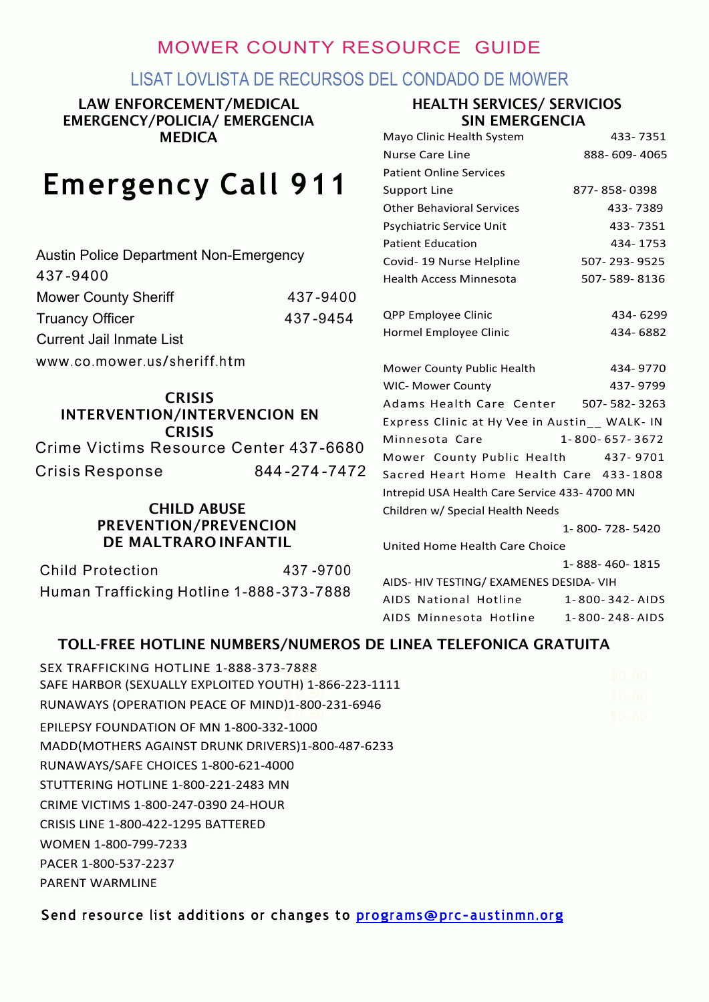# MOWER COUNTY RESOURCE GUIDE

## LISAT LOVLISTA DE RECURSOS DEL CONDADO DE MOWER

LAW ENFORCEMENT/MEDICAL EMERGENCY/POLICIA/ EMERGENCIA MEDICA

# **Emergency Call 911**

#### HEALTH SERVICES/ SERVICIOS SIN EMERGENCIA

| <b>MEDICA</b>                                 |              | Mayo Clinic Health System                     | 433-7351       |
|-----------------------------------------------|--------------|-----------------------------------------------|----------------|
|                                               |              | <b>Nurse Care Line</b>                        | 888-609-4065   |
| <b>Emergency Call 911</b>                     |              | <b>Patient Online Services</b>                |                |
|                                               |              | <b>Support Line</b>                           | 877-858-0398   |
|                                               |              | <b>Other Behavioral Services</b>              | 433-7389       |
|                                               |              | Psychiatric Service Unit                      | 433-7351       |
| <b>Austin Police Department Non-Emergency</b> |              | <b>Patient Education</b>                      | 434-1753       |
|                                               |              | Covid-19 Nurse Helpline                       | 507-293-9525   |
| 437-9400                                      |              | <b>Health Access Minnesota</b>                | 507-589-8136   |
| <b>Mower County Sheriff</b>                   | 437-9400     |                                               |                |
| <b>Truancy Officer</b>                        | 437-9454     | QPP Employee Clinic                           | 434-6299       |
| <b>Current Jail Inmate List</b>               |              | Hormel Employee Clinic                        | 434-6882       |
| www.co.mower.us/sheriff.htm                   |              | Mower County Public Health                    | 434-9770       |
|                                               |              | <b>WIC- Mower County</b>                      | 437-9799       |
| <b>CRISIS</b>                                 |              | Adams Health Care Center                      | 507-582-3263   |
| <b>INTERVENTION/INTERVENCION EN</b>           |              | Express Clinic at Hy Vee in Austin__ WALK- IN |                |
| <b>CRISIS</b>                                 |              | Minnesota Care                                | 1-800-657-3672 |
| Crime Victims Resource Center 437-6680        |              | Mower County Public Health                    | 437-9701       |
| <b>Crisis Response</b>                        | 844-274-7472 | Sacred Heart Home Health Care 433-1808        |                |
|                                               |              | Intrepid USA Health Care Service 433-4700 MN  |                |
| <b>CHILD ABUSE</b>                            |              | Children w/ Special Health Needs              |                |
| PREVENTION/PREVENCION                         |              |                                               | 1-800-728-5420 |
| DE MALTRARO INFANTIL                          |              | United Home Health Care Choice                |                |
| <b>Child Protection</b>                       | 437-9700     |                                               | 1-888-460-1815 |
| Human Trafficking Hotline 1-888-373-7888      |              | AIDS- HIV TESTING/ EXAMENES DESIDA- VIH       |                |
|                                               |              | AIDS National Hotline                         | 1-800-342-AIDS |
|                                               |              | AIDS Minnesota Hotline                        | 1-800-248-AIDS |

#### TOLL-FREE HOTLINE NUMBERS/NUMEROS DE LINEA TELEFONICA GRATUITA

| SEX TRAFFICKING HOTLINE 1-888-373-7888                | \$0.50           |
|-------------------------------------------------------|------------------|
| SAFE HARBOR (SEXUALLY EXPLOITED YOUTH) 1-866-223-1111 |                  |
| RUNAWAYS (OPERATION PEACE OF MIND)1-800-231-6946      | \$0.50<br>\$0.50 |
| EPILEPSY FOUNDATION OF MN 1-800-332-1000              |                  |
| MADD(MOTHERS AGAINST DRUNK DRIVERS)1-800-487-6233     |                  |
| RUNAWAYS/SAFE CHOICES 1-800-621-4000                  |                  |
| STUTTERING HOTLINE 1-800-221-2483 MN                  |                  |
| CRIME VICTIMS 1-800-247-0390 24-HOUR                  |                  |
| CRISIS LINE 1-800-422-1295 BATTERED                   |                  |
| WOMEN 1-800-799-7233                                  |                  |
| PACER 1-800-537-2237                                  |                  |
| PARENT WARMLINE                                       |                  |
|                                                       |                  |

**Send resource li st additions or changes to [programs@prc-austinmn.org](mailto:programs@prc-austinmn.org)**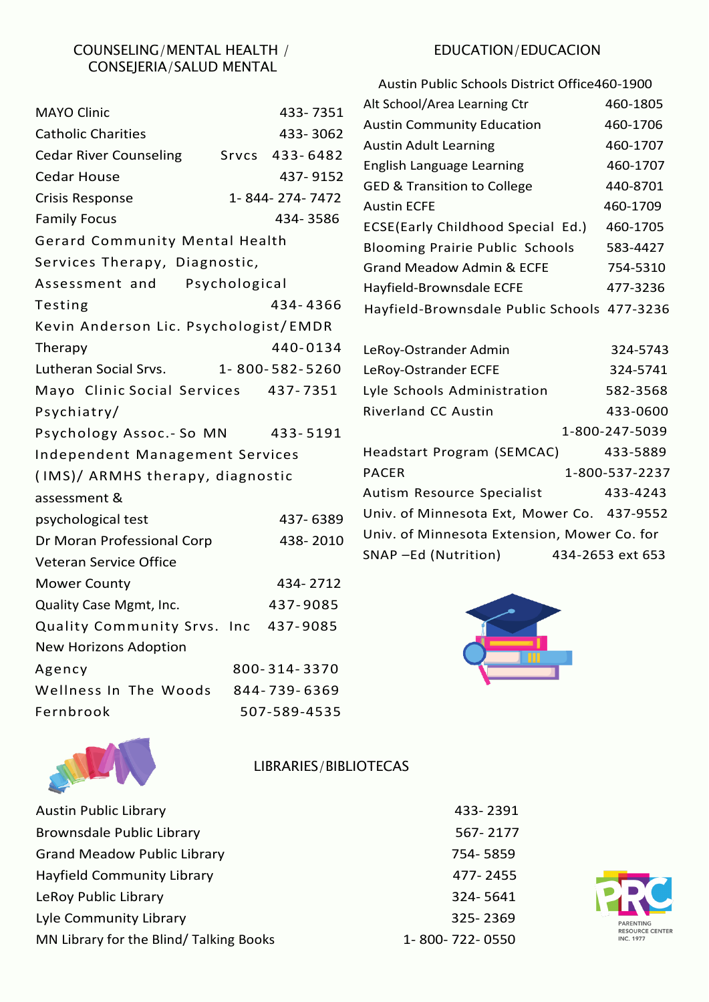#### COUNSELING/MENTAL HEALTH / CONSEJERIA/SALUD MENTAL

| <b>MAYO Clinic</b>                    |               | 433-7351       | Alt School/Area Learning Ctr                | 460-1805         |
|---------------------------------------|---------------|----------------|---------------------------------------------|------------------|
| <b>Catholic Charities</b>             |               | 433-3062       | <b>Austin Community Education</b>           | 460-1706         |
| <b>Cedar River Counseling</b>         | Srvcs         | 433-6482       | <b>Austin Adult Learning</b>                | 460-1707         |
| <b>Cedar House</b>                    |               |                | English Language Learning                   | 460-1707         |
|                                       |               | 437-9152       | <b>GED &amp; Transition to College</b>      | 440-8701         |
| <b>Crisis Response</b>                |               | 1-844-274-7472 | <b>Austin ECFE</b>                          | 460-1709         |
| <b>Family Focus</b>                   |               | 434-3586       | ECSE(Early Childhood Special Ed.)           | 460-1705         |
| Gerard Community Mental Health        |               |                | <b>Blooming Prairie Public Schools</b>      | 583-4427         |
| Services Therapy, Diagnostic,         |               |                | <b>Grand Meadow Admin &amp; ECFE</b>        | 754-5310         |
| Assessment and                        | Psychological |                | Hayfield-Brownsdale ECFE                    | 477-3236         |
| Testing                               |               | 434-4366       | Hayfield-Brownsdale Public Schools 477-3236 |                  |
| Kevin Anderson Lic. Psychologist/EMDR |               |                |                                             |                  |
| Therapy                               |               | 440-0134       | LeRoy-Ostrander Admin                       | 324-5743         |
| Lutheran Social Srvs.                 |               | 1-800-582-5260 | LeRoy-Ostrander ECFE                        | 324-5741         |
| Mayo Clinic Social Services           |               | 437-7351       | Lyle Schools Administration                 | 582-3568         |
| Psychiatry/                           |               |                | Riverland CC Austin                         | 433-0600         |
| Psychology Assoc.- So MN              |               | 433-5191       |                                             | 1-800-247-5039   |
| Independent Management Services       |               |                | Headstart Program (SEMCAC)                  | 433-5889         |
| (IMS)/ ARMHS therapy, diagnostic      |               |                | <b>PACER</b>                                | 1-800-537-2237   |
| assessment &                          |               |                | Autism Resource Specialist                  | 433-4243         |
| psychological test                    |               | 437-6389       | Univ. of Minnesota Ext, Mower Co. 437-9552  |                  |
| Dr Moran Professional Corp            |               | 438-2010       | Univ. of Minnesota Extension, Mower Co. for |                  |
| Veteran Service Office                |               |                | SNAP –Ed (Nutrition)                        | 434-2653 ext 653 |
| <b>Mower County</b>                   |               | 434-2712       |                                             |                  |
| Quality Case Mgmt, Inc.               |               | 437-9085       |                                             |                  |
| Quality Community Srvs. Inc           |               | 437-9085       |                                             |                  |
| <b>New Horizons Adoption</b>          |               |                |                                             |                  |
| Agency                                |               | 800-314-3370   |                                             |                  |
| Wellness In The Woods                 |               | 844-739-6369   |                                             |                  |
| Fernbrook                             |               | 507-589-4535   |                                             |                  |
|                                       |               |                |                                             |                  |

# MICH

LIBRARIES/BIBLIOTECAS

| <b>Austin Public Library</b>           | 433-2391       |
|----------------------------------------|----------------|
| <b>Brownsdale Public Library</b>       | 567-2177       |
| <b>Grand Meadow Public Library</b>     | 754-5859       |
| Hayfield Community Library             | 477-2455       |
| LeRoy Public Library                   | 324-5641       |
| Lyle Community Library                 | 325-2369       |
| MN Library for the Blind/Talking Books | 1-800-722-0550 |

#### EDUCATION/EDUCACION

| Austin Public Schools District Office460-1900 |          |  |
|-----------------------------------------------|----------|--|
| Alt School/Area Learning Ctr                  | 460-1805 |  |
| <b>Austin Community Education</b>             | 460-1706 |  |
| <b>Austin Adult Learning</b>                  | 460-1707 |  |
| English Language Learning                     | 460-1707 |  |
| <b>GED &amp; Transition to College</b>        | 440-8701 |  |
| <b>Austin ECFE</b>                            | 460-1709 |  |
| <b>ECSE(Early Childhood Special Ed.)</b>      | 460-1705 |  |
| <b>Blooming Prairie Public Schools</b>        | 583-4427 |  |
| Grand Meadow Admin & ECFE                     | 754-5310 |  |
| Hayfield-Brownsdale ECFE                      | 477-3236 |  |
| Hayfield-Brownsdale Public Schools 477-3236   |          |  |
|                                               |          |  |

| LeRoy-Ostrander Admin                       | 324-5743         |
|---------------------------------------------|------------------|
| LeRoy-Ostrander ECFE                        | 324-5741         |
| Lyle Schools Administration                 | 582-3568         |
| <b>Riverland CC Austin</b>                  | 433-0600         |
|                                             | 1-800-247-5039   |
| Headstart Program (SEMCAC)                  | 433-5889         |
| <b>PACER</b>                                | 1-800-537-2237   |
| Autism Resource Specialist                  | 433-4243         |
| Univ. of Minnesota Ext, Mower Co. 437-9552  |                  |
| Univ. of Minnesota Extension, Mower Co. for |                  |
| SNAP -Ed (Nutrition)                        | 434-2653 ext 653 |
|                                             |                  |



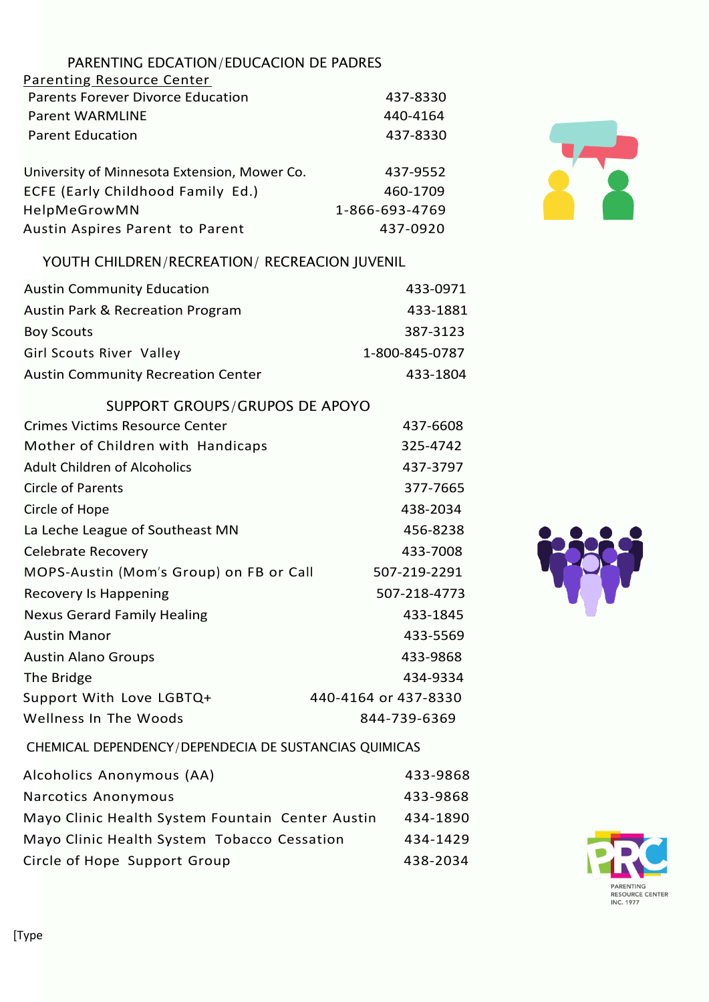| PARENTING EDCATION/EDUCACION DE PADRES                |                      |
|-------------------------------------------------------|----------------------|
| <b>Parenting Resource Center</b>                      |                      |
| <b>Parents Forever Divorce Education</b>              | 437-8330             |
| <b>Parent WARMLINE</b>                                | 440-4164             |
| <b>Parent Education</b>                               | 437-8330             |
| University of Minnesota Extension, Mower Co.          | 437-9552             |
| ECFE (Early Childhood Family Ed.)                     | 460-1709             |
| HelpMeGrowMN                                          | 1-866-693-4769       |
| Austin Aspires Parent to Parent                       | 437-0920             |
| YOUTH CHILDREN/RECREATION/ RECREACION JUVENIL         |                      |
| <b>Austin Community Education</b>                     | 433-0971             |
| <b>Austin Park &amp; Recreation Program</b>           | 433-1881             |
| <b>Boy Scouts</b>                                     | 387-3123             |
| Girl Scouts River Valley                              | 1-800-845-0787       |
| <b>Austin Community Recreation Center</b>             | 433-1804             |
| SUPPORT GROUPS/GRUPOS DE APOYO                        |                      |
| <b>Crimes Victims Resource Center</b>                 | 437-6608             |
| Mother of Children with Handicaps                     | 325-4742             |
| <b>Adult Children of Alcoholics</b>                   | 437-3797             |
| <b>Circle of Parents</b>                              | 377-7665             |
| Circle of Hope                                        | 438-2034             |
| La Leche League of Southeast MN                       | 456-8238             |
| Celebrate Recovery                                    | 433-7008             |
| MOPS-Austin (Mom's Group) on FB or Call               | 507-219-2291         |
| <b>Recovery Is Happening</b>                          | 507-218-4773         |
| <b>Nexus Gerard Family Healing</b>                    | 433-1845             |
| <b>Austin Manor</b>                                   | 433-5569             |
| <b>Austin Alano Groups</b>                            | 433-9868             |
| The Bridge                                            | 434-9334             |
| Support With Love LGBTQ+                              | 440-4164 or 437-8330 |
| <b>Wellness In The Woods</b>                          | 844-739-6369         |
| CHEMICAL DEPENDENCY/DEPENDECIA DE SUSTANCIAS QUIMICAS |                      |
| Alcoholics Anonymous (AA)                             | 433-9868             |

| Alcoholics Anonymous (AA)                        | 433-9868 |
|--------------------------------------------------|----------|
| Narcotics Anonymous                              | 433-9868 |
| Mayo Clinic Health System Fountain Center Austin | 434-1890 |
| Mayo Clinic Health System Tobacco Cessation      | 434-1429 |
| Circle of Hope Support Group                     | 438-2034 |





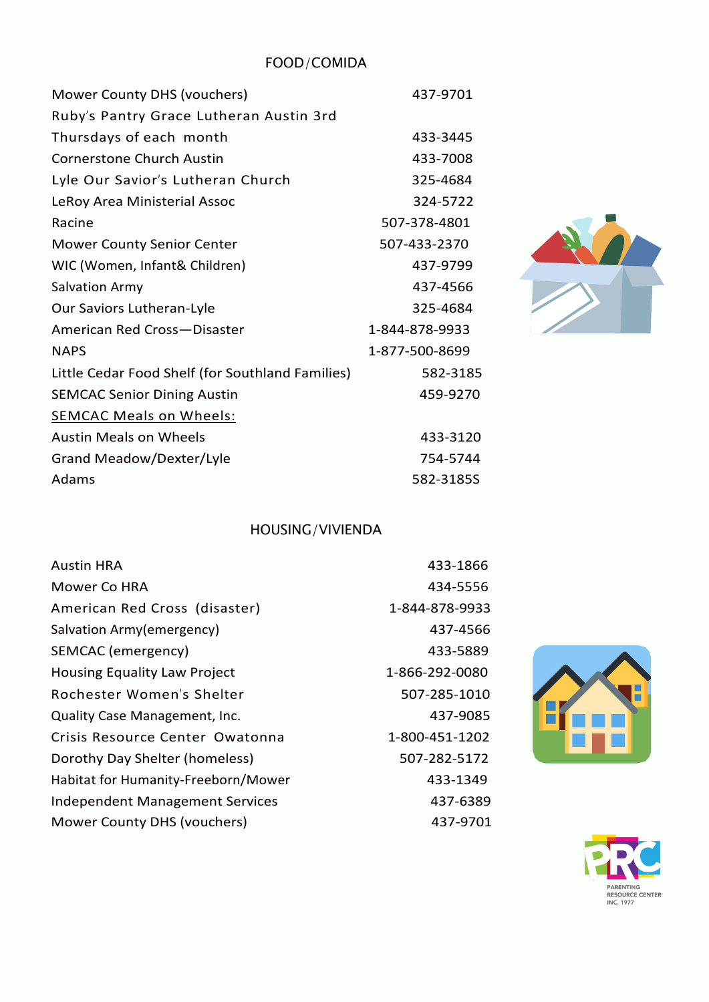FOOD/COMIDA

| Mower County DHS (vouchers)                      | 437-9701       |
|--------------------------------------------------|----------------|
| Ruby's Pantry Grace Lutheran Austin 3rd          |                |
| Thursdays of each month                          | 433-3445       |
| <b>Cornerstone Church Austin</b>                 | 433-7008       |
| Lyle Our Savior's Lutheran Church                | 325-4684       |
| LeRoy Area Ministerial Assoc                     | 324-5722       |
| Racine                                           | 507-378-4801   |
| <b>Mower County Senior Center</b>                | 507-433-2370   |
| WIC (Women, Infant& Children)                    | 437-9799       |
| <b>Salvation Army</b>                            | 437-4566       |
| Our Saviors Lutheran-Lyle                        | 325-4684       |
| American Red Cross-Disaster                      | 1-844-878-9933 |
| <b>NAPS</b>                                      | 1-877-500-8699 |
| Little Cedar Food Shelf (for Southland Families) | 582-3185       |
| <b>SEMCAC Senior Dining Austin</b>               | 459-9270       |
| <b>SEMCAC Meals on Wheels:</b>                   |                |
| <b>Austin Meals on Wheels</b>                    | 433-3120       |
| Grand Meadow/Dexter/Lyle                         | 754-5744       |
| Adams                                            | 582-3185S      |

# HOUSING/VIVIENDA

| Austin HRA                             | 433-1866       |
|----------------------------------------|----------------|
| Mower Co HRA                           | 434-5556       |
| American Red Cross (disaster)          | 1-844-878-9933 |
| Salvation Army(emergency)              | 437-4566       |
| SEMCAC (emergency)                     | 433-5889       |
| <b>Housing Equality Law Project</b>    | 1-866-292-0080 |
| Rochester Women's Shelter              | 507-285-1010   |
| <b>Quality Case Management, Inc.</b>   | 437-9085       |
| Crisis Resource Center Owatonna        | 1-800-451-1202 |
| Dorothy Day Shelter (homeless)         | 507-282-5172   |
| Habitat for Humanity-Freeborn/Mower    | 433-1349       |
| <b>Independent Management Services</b> | 437-6389       |
| Mower County DHS (vouchers)            | 437-9701       |
|                                        |                |





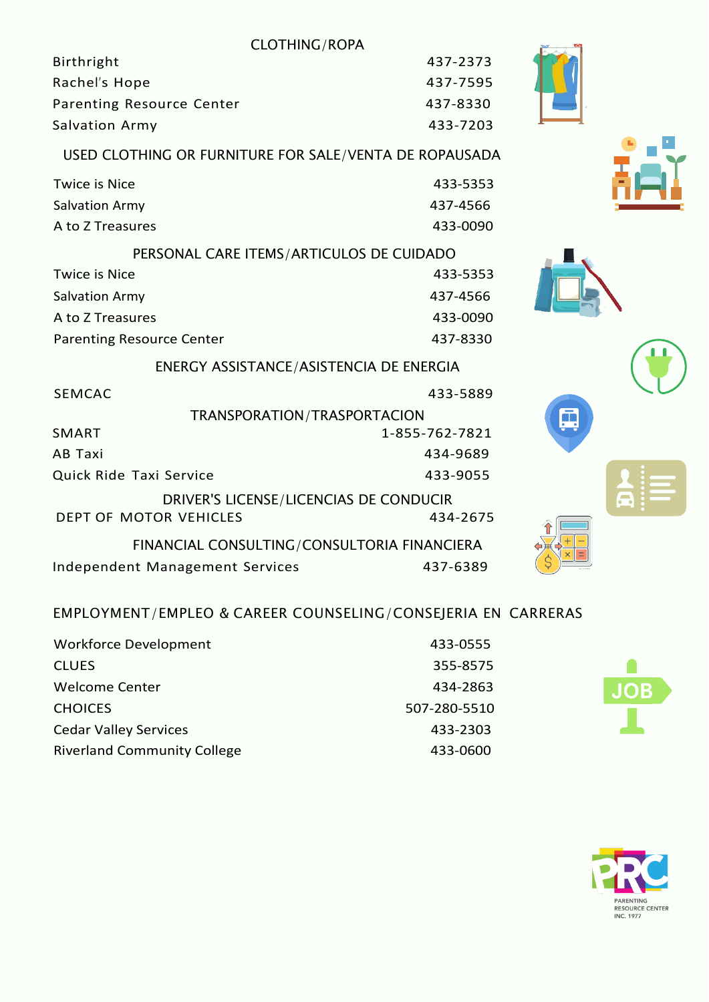#### CLOTHING/ROPA

| Birthright                | 437-2373 |
|---------------------------|----------|
| Rachel's Hope             | 437-7595 |
| Parenting Resource Center | 437-8330 |
| Salvation Army            | 433-7203 |
|                           |          |

#### USED CLOTHING OR FURNITURE FOR SALE/VENTA DE ROPAUSADA

| Twice is Nice    | 433-5353 |
|------------------|----------|
| Salvation Army   | 437-4566 |
| A to Z Treasures | 433-0090 |
|                  |          |

PERSONAL CARE ITEMS/ARTICULOS DE CUIDADO Twice is Nice **All Accords** 2008 12:00 12:00 133-5353 Salvation Army 437-4566 A to Z Treasures 433-0090 Parenting Resource Center 437-8330

ENERGY ASSISTANCE/ASISTENCIA DE ENERGIA

| <b>SEMCAC</b>                   | 433-5889                                    |
|---------------------------------|---------------------------------------------|
|                                 | TRANSPORATION/TRASPORTACION                 |
| SMART                           | 1-855-762-7821                              |
| AB Taxi                         | 434-9689                                    |
| Quick Ride Taxi Service         | 433-9055                                    |
|                                 | DRIVER'S LICENSE/LICENCIAS DE CONDUCIR      |
| DEPT OF MOTOR VEHICLES          | 434-2675                                    |
|                                 | FINANCIAL CONSULTING/CONSULTORIA FINANCIERA |
| Independent Management Services | 437-6389                                    |

### EMPLOYMENT/EMPLEO & CAREER COUNSELING/CONSEJERIA EN CARRERAS

| <b>Workforce Development</b>       | 433-0555     |
|------------------------------------|--------------|
| <b>CLUES</b>                       | 355-8575     |
| Welcome Center                     | 434-2863     |
| <b>CHOICES</b>                     | 507-280-5510 |
| <b>Cedar Valley Services</b>       | 433-2303     |
| <b>Riverland Community College</b> | 433-0600     |











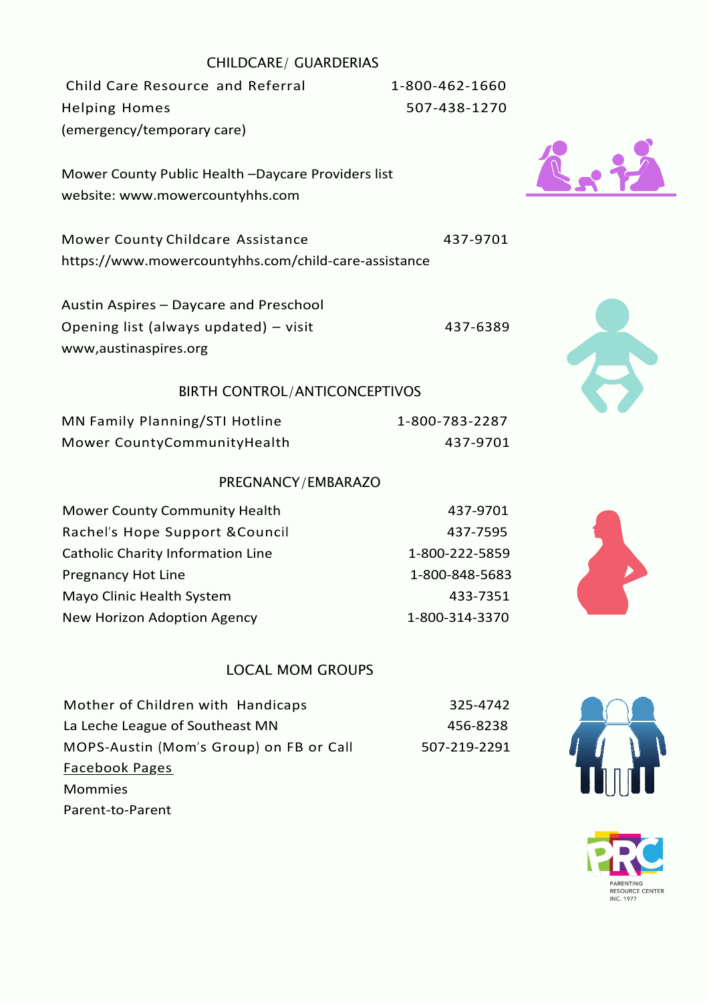#### CHILDCARE/ GUARDERIAS

Child Care Resource and Referral 1-800-462-1660 Helping Homes 507-438-1270 (emergency/temporary care)

Mower County Public Health –Daycare Providers list website: [www.mowercountyhhs.com](http://www.mowercountyhhs.com/)

Mower County Childcare Assistance 437-9701 https:/[/www.mowercountyhhs.com/child-care-assistance](http://www.mowercountyhhs.com/child-care-assistance)

Austin Aspires – Daycare and Preschool Opening list (always updated) – visit 437-6389 www,austinaspires.org

#### BIRTH CONTROL/ANTICONCEPTIVOS

| MN Family Planning/STI Hotline | 1-800-783-2287 |
|--------------------------------|----------------|
| Mower CountyCommunityHealth    | 437-9701       |

#### PREGNANCY/EMBARAZO

| Mower County Community Health     | 437-9701       |
|-----------------------------------|----------------|
| Rachel's Hope Support & Council   | 437-7595       |
| Catholic Charity Information Line | 1-800-222-5859 |
| <b>Pregnancy Hot Line</b>         | 1-800-848-5683 |
| Mayo Clinic Health System         | 433-7351       |
| New Horizon Adoption Agency       | 1-800-314-3370 |

#### LOCAL MOM GROUPS

| Mother of Children with Handicaps       | 325-4742     |
|-----------------------------------------|--------------|
| La Leche League of Southeast MN         | 456-8238     |
| MOPS-Austin (Mom's Group) on FB or Call | 507-219-2291 |
| Facebook Pages                          |              |
| <b>Mommies</b>                          |              |
| Parent-to-Parent                        |              |









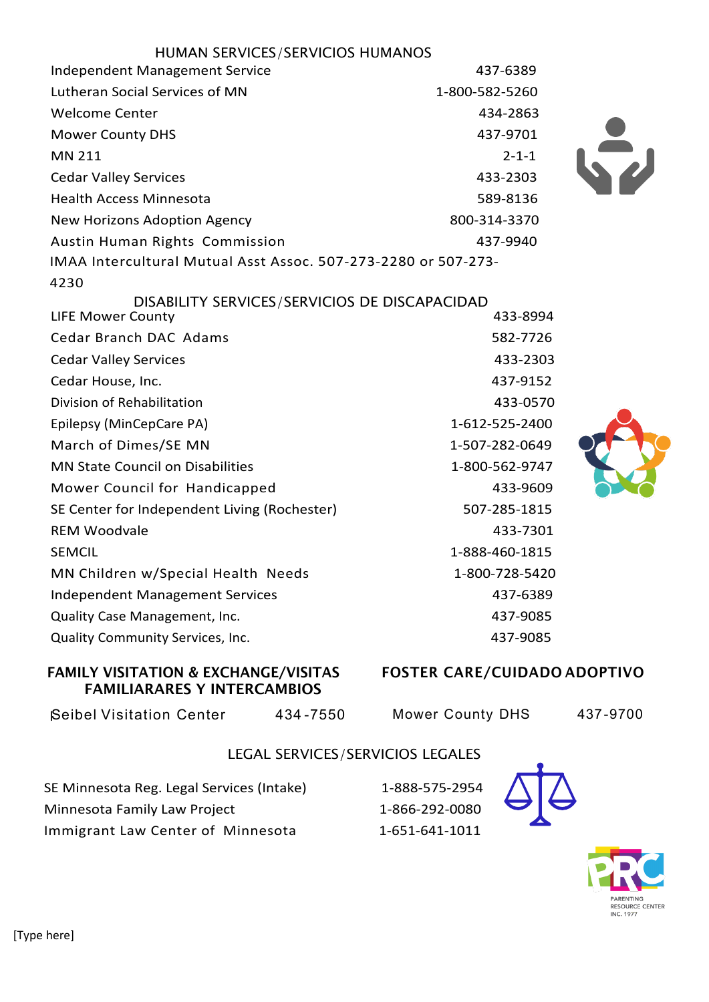| HUMAN SERVICES/SERVICIOS HUMANOS                                          |                |
|---------------------------------------------------------------------------|----------------|
| <b>Independent Management Service</b>                                     | 437-6389       |
| Lutheran Social Services of MN                                            | 1-800-582-5260 |
| <b>Welcome Center</b>                                                     | 434-2863       |
| <b>Mower County DHS</b>                                                   | 437-9701       |
| MN 211                                                                    | $2 - 1 - 1$    |
| <b>Cedar Valley Services</b>                                              | 433-2303       |
| <b>Health Access Minnesota</b>                                            | 589-8136       |
| New Horizons Adoption Agency                                              | 800-314-3370   |
| <b>Austin Human Rights Commission</b>                                     | 437-9940       |
| IMAA Intercultural Mutual Asst Assoc. 507-273-2280 or 507-273-            |                |
| 4230                                                                      |                |
| DISABILITY SERVICES/SERVICIOS DE DISCAPACIDAD<br><b>LIFE Mower County</b> | 433-8994       |
| Cedar Branch DAC Adams                                                    | 582-7726       |
| <b>Cedar Valley Services</b>                                              | 433-2303       |
| Cedar House, Inc.                                                         | 437-9152       |
| Division of Rehabilitation                                                | 433-0570       |
| Epilepsy (MinCepCare PA)                                                  | 1-612-525-2400 |
| March of Dimes/SE MN                                                      | 1-507-282-0649 |
| <b>MN State Council on Disabilities</b>                                   | 1-800-562-9747 |
| Mower Council for Handicapped                                             | 433-9609       |
| SE Center for Independent Living (Rochester)                              | 507-285-1815   |
| <b>REM Woodvale</b>                                                       | 433-7301       |
| <b>SEMCIL</b>                                                             | 1-888-460-1815 |
| MN Children w/Special Health Needs                                        | 1-800-728-5420 |
| <b>Independent Management Services</b>                                    | 437-6389       |
| Quality Case Management, Inc.                                             | 437-9085       |
| Quality Community Services, Inc.                                          | 437-9085       |

#### FAMILY VISITATION & EXCHANGE/VISITAS FAMILIARARES Y INTERCAMBIOS

# FOSTER CARE/CUIDADO ADOPTIVO

Seibel Visitation Center 434-7550

Mower County DHS 437-9700

 $\sum$ 

#### LEGAL SERVICES/SERVICIOS LEGALES

SE Minnesota Reg. Legal Services (Intake) 1-888-575-2954 Minnesota Family Law Project 1-866-292-0080 Immigrant Law Center of Minnesota 1-651-641-1011